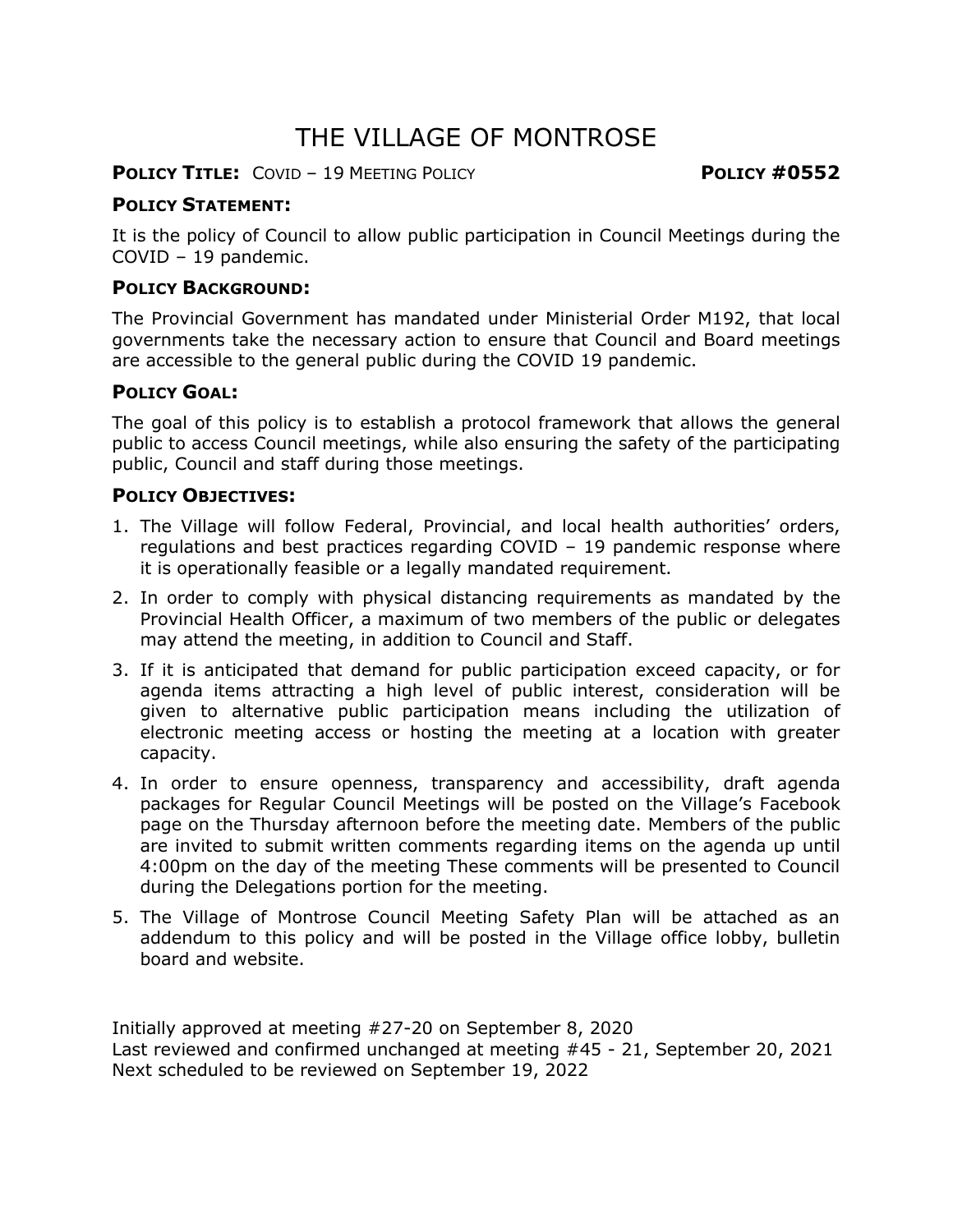# THE VILLAGE OF MONTROSE

**POLICY TITLE:** COVID – 19 MEETING POLICY **POLICY #0552**

# **POLICY STATEMENT:**

It is the policy of Council to allow public participation in Council Meetings during the COVID – 19 pandemic.

## **POLICY BACKGROUND:**

The Provincial Government has mandated under Ministerial Order M192, that local governments take the necessary action to ensure that Council and Board meetings are accessible to the general public during the COVID 19 pandemic.

#### **POLICY GOAL:**

The goal of this policy is to establish a protocol framework that allows the general public to access Council meetings, while also ensuring the safety of the participating public, Council and staff during those meetings.

## **POLICY OBJECTIVES:**

- 1. The Village will follow Federal, Provincial, and local health authorities' orders, regulations and best practices regarding COVID – 19 pandemic response where it is operationally feasible or a legally mandated requirement.
- 2. In order to comply with physical distancing requirements as mandated by the Provincial Health Officer, a maximum of two members of the public or delegates may attend the meeting, in addition to Council and Staff.
- 3. If it is anticipated that demand for public participation exceed capacity, or for agenda items attracting a high level of public interest, consideration will be given to alternative public participation means including the utilization of electronic meeting access or hosting the meeting at a location with greater capacity.
- 4. In order to ensure openness, transparency and accessibility, draft agenda packages for Regular Council Meetings will be posted on the Village's Facebook page on the Thursday afternoon before the meeting date. Members of the public are invited to submit written comments regarding items on the agenda up until 4:00pm on the day of the meeting These comments will be presented to Council during the Delegations portion for the meeting.
- 5. The Village of Montrose Council Meeting Safety Plan will be attached as an addendum to this policy and will be posted in the Village office lobby, bulletin board and website.

Initially approved at meeting #27-20 on September 8, 2020 Last reviewed and confirmed unchanged at meeting #45 - 21, September 20, 2021 Next scheduled to be reviewed on September 19, 2022